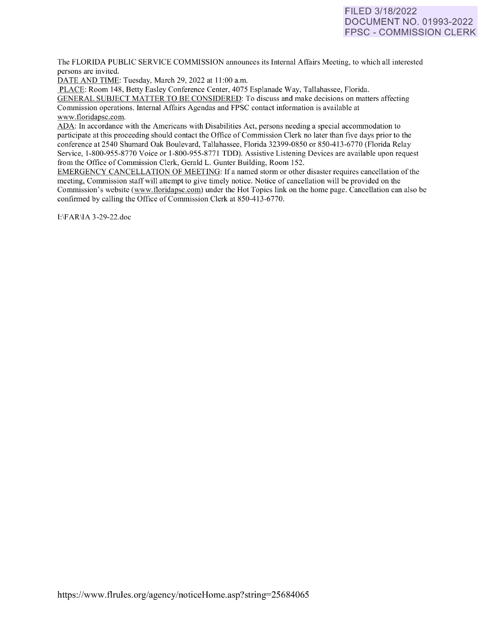# FILED 3/18/2022 DOCUMENT NO. 01993-2022 FPSC - COMMISSION CLERK

The FLORIDA PUBLIC SERVICE COMMISSION announces its Internal Affairs Meeting, to which all interested persons are invited.

DATE AND TIME: Tuesday, March 29, 2022 at 11:00 a.m.

PLACE: Room 148, Betty Easley Conference Center, 4075 Esplanade Way, Tallahassee, Florida.

GENERAL SUBJECT MATTER TO BE CONSIDERED: To discuss and make decisions on matters affecting Commission operations. Internal Affairs Agendas and FPSC contact information is available at [www.floridapsc.com.](http://www.floridapsc.com/) 

ADA: In accordance with the Americans with Disabilities Act, persons needing a special accommodation to participate at this proceeding should contact the Office of Commission Clerk no later than five days prior to the conference at 2540 Shumard Oak Boulevard, Tallahassee, Florida 32399-0850 or 850-41 3-6770 (Florida Relay Service, 1-800-955-8770 Voice or 1-800-955-8771 TDD). Assistive Listening Devices are available upon request from the Office of Commission Clerk, Gerald L. Gunter Building, Room 152.

EMERGENCY CANCELLATION OF MEETING: If a named storm or other disaster requires cancellation of the meeting, Commission staff will attempt to give timely notice. Notice of cancellation will be provided on the Commission's website [\(www.f](http://www/)loridapsc.com) under the Hot Topics link on the home page. Cancellation can also be confirmed by calling the Office of Commission Clerk at 850-413-6770.

1:\FAR\IA 3-29-22.doc